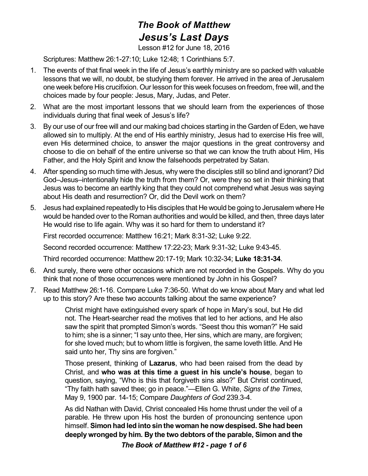## *The Book of Matthew Jesus's Last Days*

Lesson #12 for June 18, 2016

Scriptures: Matthew 26:1-27:10; Luke 12:48; 1 Corinthians 5:7.

- 1. The events of that final week in the life of Jesus's earthly ministry are so packed with valuable lessons that we will, no doubt, be studying them forever. He arrived in the area of Jerusalem one week before His crucifixion. Our lesson for this week focuses on freedom, free will, and the choices made by four people: Jesus, Mary, Judas, and Peter.
- 2. What are the most important lessons that we should learn from the experiences of those individuals during that final week of Jesus's life?
- 3. By our use of our free will and our making bad choices starting in the Garden of Eden, we have allowed sin to multiply. At the end of His earthly ministry, Jesus had to exercise His free will, even His determined choice, to answer the major questions in the great controversy and choose to die on behalf of the entire universe so that we can know the truth about Him, His Father, and the Holy Spirit and know the falsehoods perpetrated by Satan.
- 4. After spending so much time with Jesus, why were the disciples still so blind and ignorant? Did God–Jesus–intentionally hide the truth from them? Or, were they so set in their thinking that Jesus was to become an earthly king that they could not comprehend what Jesus was saying about His death and resurrection? Or, did the Devil work on them?
- 5. Jesus had explained repeatedly to His disciples that He would be going to Jerusalem where He would be handed over to the Roman authorities and would be killed, and then, three days later He would rise to life again. Why was it so hard for them to understand it?

First recorded occurrence: Matthew 16:21; Mark 8:31-32; Luke 9:22.

Second recorded occurrence: Matthew 17:22-23; Mark 9:31-32; Luke 9:43-45.

Third recorded occurrence: Matthew 20:17-19; Mark 10:32-34; **Luke 18:31-34**.

- 6. And surely, there were other occasions which are not recorded in the Gospels. Why do you think that none of those occurrences were mentioned by John in his Gospel?
- 7. Read Matthew 26:1-16. Compare Luke 7:36-50. What do we know about Mary and what led up to this story? Are these two accounts talking about the same experience?

Christ might have extinguished every spark of hope in Mary's soul, but He did not. The Heart-searcher read the motives that led to her actions, and He also saw the spirit that prompted Simon's words. "Seest thou this woman?" He said to him; she is a sinner; "I say unto thee, Her sins, which are many, are forgiven; for she loved much; but to whom little is forgiven, the same loveth little. And He said unto her, Thy sins are forgiven."

Those present, thinking of **Lazarus**, who had been raised from the dead by Christ, and **who was at this time a guest in his uncle's house**, began to question, saying, "Who is this that forgiveth sins also?" But Christ continued, "Thy faith hath saved thee; go in peace."—Ellen G. White, *Signs of the Times*, May 9, 1900 par. 14-15; Compare *Daughters of God* 239.3-4.

As did Nathan with David, Christ concealed His home thrust under the veil of a parable. He threw upon His host the burden of pronouncing sentence upon himself. **Simon had led into sin the woman he now despised. She had been deeply wronged by him. By the two debtors of the parable, Simon and the**

*The Book of Matthew #12 - page 1 of 6*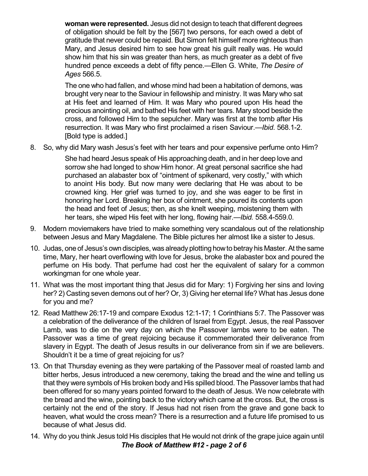**woman were represented.** Jesus did not design to teach that different degrees of obligation should be felt by the [567] two persons, for each owed a debt of gratitude that never could be repaid. But Simon felt himself more righteous than Mary, and Jesus desired him to see how great his guilt really was. He would show him that his sin was greater than hers, as much greater as a debt of five hundred pence exceeds a debt of fifty pence.—Ellen G. White, *The Desire of Ages* 566.5.

The one who had fallen, and whose mind had been a habitation of demons, was brought very near to the Saviour in fellowship and ministry. It was Mary who sat at His feet and learned of Him. It was Mary who poured upon His head the precious anointing oil, and bathed His feet with her tears. Mary stood beside the cross, and followed Him to the sepulcher. Mary was first at the tomb after His resurrection. It was Mary who first proclaimed a risen Saviour.—*Ibid*. 568.1-2. [Bold type is added.]

8. So, why did Mary wash Jesus's feet with her tears and pour expensive perfume onto Him?

She had heard Jesus speak of His approaching death, and in her deep love and sorrow she had longed to show Him honor. At great personal sacrifice she had purchased an alabaster box of "ointment of spikenard, very costly," with which to anoint His body. But now many were declaring that He was about to be crowned king. Her grief was turned to joy, and she was eager to be first in honoring her Lord. Breaking her box of ointment, she poured its contents upon the head and feet of Jesus; then, as she knelt weeping, moistening them with her tears, she wiped His feet with her long, flowing hair.—*Ibid.* 558.4-559.0.

- 9. Modern moviemakers have tried to make something very scandalous out of the relationship between Jesus and Mary Magdalene. The Bible pictures her almost like a sister to Jesus.
- 10. Judas, one of Jesus's own disciples, was already plotting howto betray his Master. At the same time, Mary, her heart overflowing with love for Jesus, broke the alabaster box and poured the perfume on His body. That perfume had cost her the equivalent of salary for a common workingman for one whole year.
- 11. What was the most important thing that Jesus did for Mary: 1) Forgiving her sins and loving her? 2) Casting seven demons out of her? Or, 3) Giving her eternal life? What has Jesus done for you and me?
- 12. Read Matthew 26:17-19 and compare Exodus 12:1-17; 1 Corinthians 5:7. The Passover was a celebration of the deliverance of the children of Israel from Egypt. Jesus, the real Passover Lamb, was to die on the very day on which the Passover lambs were to be eaten. The Passover was a time of great rejoicing because it commemorated their deliverance from slavery in Egypt. The death of Jesus results in our deliverance from sin if we are believers. Shouldn't it be a time of great rejoicing for us?
- 13. On that Thursday evening as they were partaking of the Passover meal of roasted lamb and bitter herbs, Jesus introduced a new ceremony, taking the bread and the wine and telling us that they were symbols of His broken body and His spilled blood. The Passover lambs that had been offered for so many years pointed forward to the death of Jesus. We now celebrate with the bread and the wine, pointing back to the victory which came at the cross. But, the cross is certainly not the end of the story. If Jesus had not risen from the grave and gone back to heaven, what would the cross mean? There is a resurrection and a future life promised to us because of what Jesus did.
- 14. Why do you think Jesus told His disciples that He would not drink of the grape juice again until *The Book of Matthew #12 - page 2 of 6*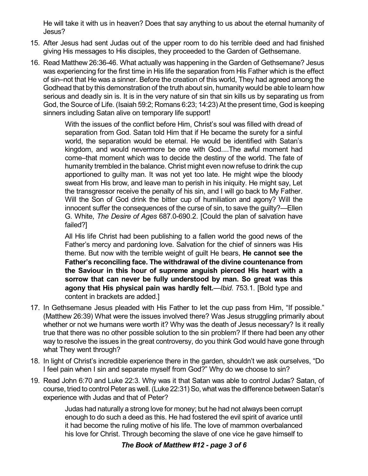He will take it with us in heaven? Does that say anything to us about the eternal humanity of Jesus?

- 15. After Jesus had sent Judas out of the upper room to do his terrible deed and had finished giving His messages to His disciples, they proceeded to the Garden of Gethsemane.
- 16. Read Matthew 26:36-46. What actually was happening in the Garden of Gethsemane? Jesus was experiencing for the first time in His life the separation from His Father which is the effect of sin–not that He was a sinner. Before the creation of this world, They had agreed among the Godhead that by this demonstration of the truth about sin, humanity would be able to learn how serious and deadly sin is. It is in the very nature of sin that sin kills us by separating us from God, the Source of Life. (Isaiah 59:2; Romans 6:23; 14:23) At the present time, God is keeping sinners including Satan alive on temporary life support!

With the issues of the conflict before Him, Christ's soul was filled with dread of separation from God. Satan told Him that if He became the surety for a sinful world, the separation would be eternal. He would be identified with Satan's kingdom, and would nevermore be one with God....The awful moment had come–that moment which was to decide the destiny of the world. The fate of humanity trembled in the balance. Christ might even now refuse to drink the cup apportioned to guilty man. It was not yet too late. He might wipe the bloody sweat from His brow, and leave man to perish in his iniquity. He might say, Let the transgressor receive the penalty of his sin, and I will go back to My Father. Will the Son of God drink the bitter cup of humiliation and agony? Will the innocent suffer the consequences of the curse of sin, to save the guilty?—Ellen G. White, *The Desire of Ages* 687.0-690.2. [Could the plan of salvation have failed?]

All His life Christ had been publishing to a fallen world the good news of the Father's mercy and pardoning love. Salvation for the chief of sinners was His theme. But now with the terrible weight of guilt He bears, **He cannot see the Father's reconciling face. The withdrawal of the divine countenance from the Saviour in this hour of supreme anguish pierced His heart with a sorrow that can never be fully understood by man. So great was this agony that His physical pain was hardly felt.**—*Ibid*. 753.1. [Bold type and content in brackets are added.]

- 17. In Gethsemane Jesus pleaded with His Father to let the cup pass from Him, "If possible." (Matthew 26:39) What were the issues involved there? Was Jesus struggling primarily about whether or not we humans were worth it? Why was the death of Jesus necessary? Is it really true that there was no other possible solution to the sin problem? If there had been any other way to resolve the issues in the great controversy, do you think God would have gone through what They went through?
- 18. In light of Christ's incredible experience there in the garden, shouldn't we ask ourselves, "Do I feel pain when I sin and separate myself from God?" Why do we choose to sin?
- 19. Read John 6:70 and Luke 22:3. Why was it that Satan was able to control Judas? Satan, of course, tried to control Peter as well. (Luke 22:31) So, what was the difference between Satan's experience with Judas and that of Peter?

Judas had naturally a strong love for money; but he had not always been corrupt enough to do such a deed as this. He had fostered the evil spirit of avarice until it had become the ruling motive of his life. The love of mammon overbalanced his love for Christ. Through becoming the slave of one vice he gave himself to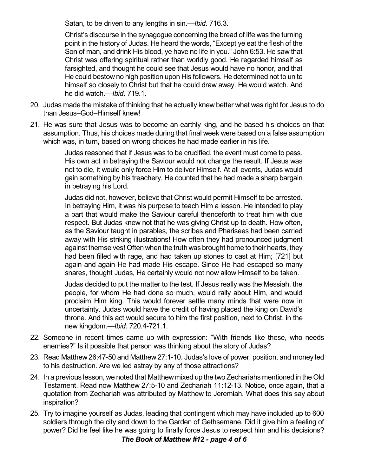Satan, to be driven to any lengths in sin.—*Ibid*. 716.3.

Christ's discourse in the synagogue concerning the bread of life was the turning point in the history of Judas. He heard the words, "Except ye eat the flesh of the Son of man, and drink His blood, ye have no life in you." John 6:53. He saw that Christ was offering spiritual rather than worldly good. He regarded himself as farsighted, and thought he could see that Jesus would have no honor, and that He could bestow no high position upon His followers. He determined not to unite himself so closely to Christ but that he could draw away. He would watch. And he did watch.—*Ibid*. 719.1.

- 20. Judas made the mistake of thinking that he actually knew better what was right for Jesus to do than Jesus–God–Himself knew!
- 21. He was sure that Jesus was to become an earthly king, and he based his choices on that assumption. Thus, his choices made during that final week were based on a false assumption which was, in turn, based on wrong choices he had made earlier in his life.

Judas reasoned that if Jesus was to be crucified, the event must come to pass. His own act in betraying the Saviour would not change the result. If Jesus was not to die, it would only force Him to deliver Himself. At all events, Judas would gain something by his treachery. He counted that he had made a sharp bargain in betraying his Lord.

Judas did not, however, believe that Christ would permit Himself to be arrested. In betraying Him, it was his purpose to teach Him a lesson. He intended to play a part that would make the Saviour careful thenceforth to treat him with due respect. But Judas knew not that he was giving Christ up to death. How often, as the Saviour taught in parables, the scribes and Pharisees had been carried away with His striking illustrations! How often they had pronounced judgment against themselves! Often when the truth was brought home to their hearts, they had been filled with rage, and had taken up stones to cast at Him; [721] but again and again He had made His escape. Since He had escaped so many snares, thought Judas, He certainly would not now allow Himself to be taken.

Judas decided to put the matter to the test. If Jesus really was the Messiah, the people, for whom He had done so much, would rally about Him, and would proclaim Him king. This would forever settle many minds that were now in uncertainty. Judas would have the credit of having placed the king on David's throne. And this act would secure to him the first position, next to Christ, in the new kingdom.—*Ibid*. 720.4-721.1.

- 22. Someone in recent times came up with expression: "With friends like these, who needs enemies?" Is it possible that person was thinking about the story of Judas?
- 23. Read Matthew 26:47-50 and Matthew 27:1-10. Judas's love of power, position, and money led to his destruction. Are we led astray by any of those attractions?
- 24. In a previous lesson, we noted that Matthewmixed up the two Zechariahs mentioned in the Old Testament. Read now Matthew 27:5-10 and Zechariah 11:12-13. Notice, once again, that a quotation from Zechariah was attributed by Matthew to Jeremiah. What does this say about inspiration?
- 25. Try to imagine yourself as Judas, leading that contingent which may have included up to 600 soldiers through the city and down to the Garden of Gethsemane. Did it give him a feeling of power? Did he feel like he was going to finally force Jesus to respect him and his decisions?

*The Book of Matthew #12 - page 4 of 6*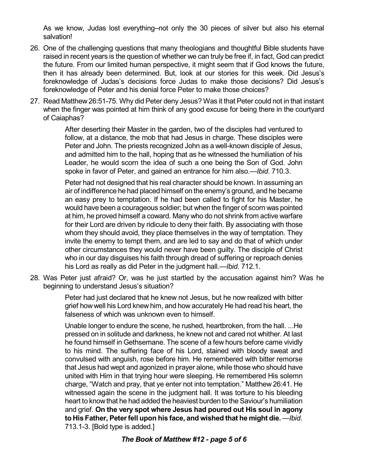As we know, Judas lost everything–not only the 30 pieces of silver but also his eternal salvation!

- 26. One of the challenging questions that many theologians and thoughtful Bible students have raised in recent years is the question of whether we can truly be free if, in fact, God can predict the future. From our limited human perspective, it might seem that if God knows the future, then it has already been determined. But, look at our stories for this week. Did Jesus's foreknowledge of Judas's decisions force Judas to make those decisions? Did Jesus's foreknowledge of Peter and his denial force Peter to make those choices?
- 27. Read Matthew 26:51-75. Why did Peter deny Jesus? Was it that Peter could not in that instant when the finger was pointed at him think of any good excuse for being there in the courtyard of Caiaphas?

After deserting their Master in the garden, two of the disciples had ventured to follow, at a distance, the mob that had Jesus in charge. These disciples were Peter and John. The priests recognized John as a well-known disciple of Jesus, and admitted him to the hall, hoping that as he witnessed the humiliation of his Leader, he would scorn the idea of such a one being the Son of God. John spoke in favor of Peter, and gained an entrance for him also.—*Ibid*. 710.3.

Peter had not designed that his real character should be known. In assuming an air of indifference he had placed himself on the enemy's ground, and he became an easy prey to temptation. If he had been called to fight for his Master, he would have been a courageous soldier; but when the finger of scorn was pointed at him, he proved himself a coward. Many who do not shrink from active warfare for their Lord are driven by ridicule to deny their faith. By associating with those whom they should avoid, they place themselves in the way of temptation. They invite the enemy to tempt them, and are led to say and do that of which under other circumstances they would never have been guilty. The disciple of Christ who in our day disguises his faith through dread of suffering or reproach denies his Lord as really as did Peter in the judgment hall.—*Ibid*. 712.1.

28. Was Peter just afraid? Or, was he just startled by the accusation against him? Was he beginning to understand Jesus's situation?

> Peter had just declared that he knew not Jesus, but he now realized with bitter grief how well his Lord knew him, and how accurately He had read his heart, the falseness of which was unknown even to himself.

> Unable longer to endure the scene, he rushed, heartbroken, from the hall. ...He pressed on in solitude and darkness, he knew not and cared not whither. At last he found himself in Gethsemane. The scene of a few hours before came vividly to his mind. The suffering face of his Lord, stained with bloody sweat and convulsed with anguish, rose before him. He remembered with bitter remorse that Jesus had wept and agonized in prayer alone, while those who should have united with Him in that trying hour were sleeping. He remembered His solemn charge, "Watch and pray, that ye enter not into temptation." Matthew 26:41. He witnessed again the scene in the judgment hall. It was torture to his bleeding heart to know that he had added the heaviest burden to the Saviour's humiliation and grief. **On the very spot where Jesus had poured out His soul in agony to His Father, Peterfell upon his face, and wished that he might die.** —*Ibid*. 713.1-3. [Bold type is added.]

> > *The Book of Matthew #12 - page 5 of 6*